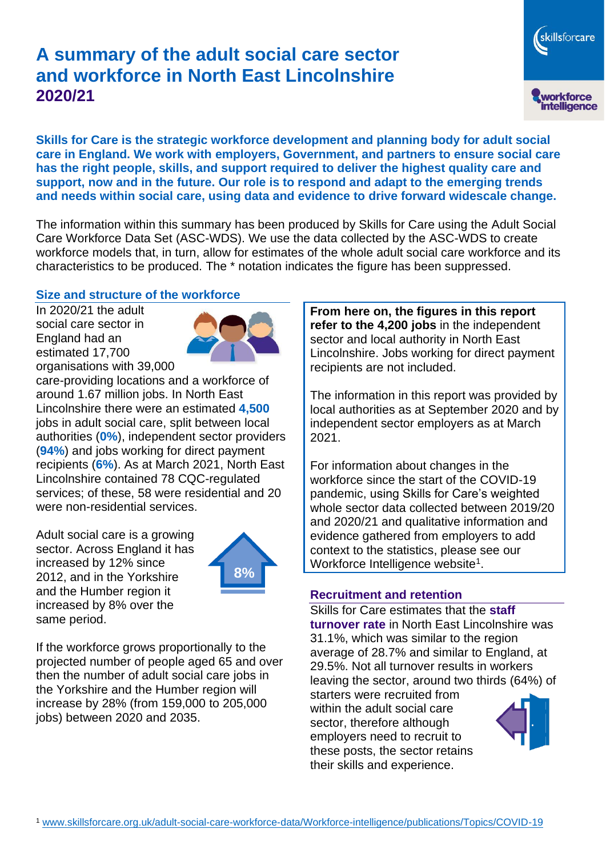# **A summary of the adult social care sector and workforce in North East Lincolnshire 2020/21**



**Skills for Care is the strategic workforce development and planning body for adult social care in England. We work with employers, Government, and partners to ensure social care has the right people, skills, and support required to deliver the highest quality care and support, now and in the future. Our role is to respond and adapt to the emerging trends and needs within social care, using data and evidence to drive forward widescale change.**

The information within this summary has been produced by Skills for Care using the Adult Social Care Workforce Data Set (ASC-WDS). We use the data collected by the ASC-WDS to create workforce models that, in turn, allow for estimates of the whole adult social care workforce and its characteristics to be produced. The \* notation indicates the figure has been suppressed.

## **Size and structure of the workforce**

In 2020/21 the adult social care sector in England had an estimated 17,700 organisations with 39,000



care-providing locations and a workforce of around 1.67 million jobs. In North East Lincolnshire there were an estimated **4,500** jobs in adult social care, split between local authorities (**0%**), independent sector providers (**94%**) and jobs working for direct payment recipients (**6%**). As at March 2021, North East Lincolnshire contained 78 CQC-regulated services; of these, 58 were residential and 20 were non-residential services.

Adult social care is a growing sector. Across England it has increased by 12% since 2012, and in the Yorkshire and the Humber region it increased by 8% over the same period.



If the workforce grows proportionally to the projected number of people aged 65 and over then the number of adult social care jobs in the Yorkshire and the Humber region will increase by 28% (from 159,000 to 205,000 jobs) between 2020 and 2035.

**From here on, the figures in this report refer to the 4,200 jobs** in the independent sector and local authority in North East Lincolnshire. Jobs working for direct payment recipients are not included.

The information in this report was provided by local authorities as at September 2020 and by independent sector employers as at March 2021.

For information about changes in the workforce since the start of the COVID-19 pandemic, using Skills for Care's weighted whole sector data collected between 2019/20 and 2020/21 and qualitative information and evidence gathered from employers to add context to the statistics, please see our Workforce Intelligence website<sup>1</sup>.

#### **Recruitment and retention**

Skills for Care estimates that the **staff turnover rate** in North East Lincolnshire was 31.1%, which was similar to the region average of 28.7% and similar to England, at 29.5%. Not all turnover results in workers leaving the sector, around two thirds (64%) of

starters were recruited from within the adult social care sector, therefore although employers need to recruit to these posts, the sector retains their skills and experience.

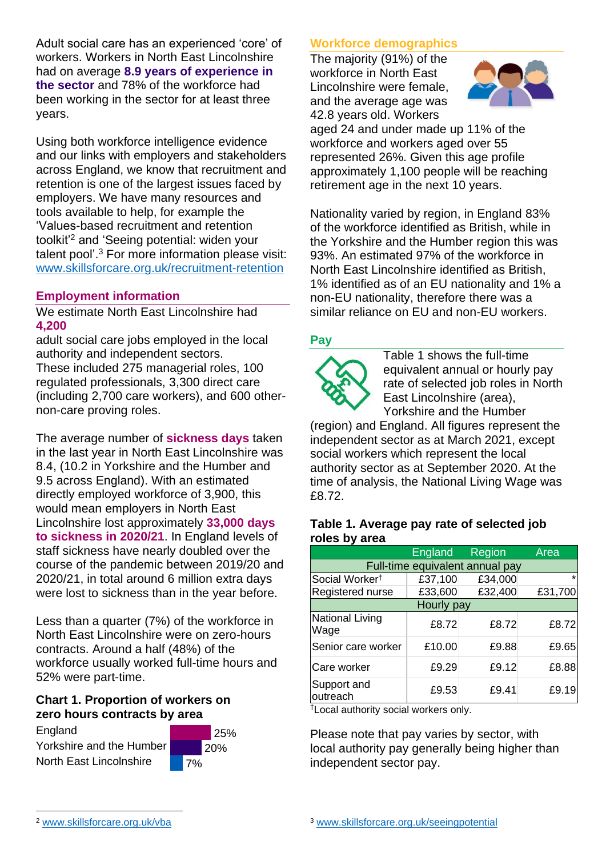Adult social care has an experienced 'core' of workers. Workers in North East Lincolnshire had on average **8.9 years of experience in the sector** and 78% of the workforce had been working in the sector for at least three years.

Using both workforce intelligence evidence and our links with employers and stakeholders across England, we know that recruitment and retention is one of the largest issues faced by employers. We have many resources and tools available to help, for example the 'Values-based recruitment and retention toolkit'<sup>2</sup> and 'Seeing potential: widen your talent pool'. <sup>3</sup> For more information please visit: [www.skillsforcare.org.uk/recruitment-retention](http://www.skillsforcare.org.uk/recruitment-retention)

## **Employment information**

We estimate North East Lincolnshire had **4,200**

adult social care jobs employed in the local authority and independent sectors. These included 275 managerial roles, 100 regulated professionals, 3,300 direct care (including 2,700 care workers), and 600 othernon-care proving roles.

The average number of **sickness days** taken in the last year in North East Lincolnshire was 8.4, (10.2 in Yorkshire and the Humber and 9.5 across England). With an estimated directly employed workforce of 3,900, this would mean employers in North East Lincolnshire lost approximately **33,000 days to sickness in 2020/21**. In England levels of staff sickness have nearly doubled over the course of the pandemic between 2019/20 and 2020/21, in total around 6 million extra days were lost to sickness than in the year before.

Less than a quarter (7%) of the workforce in North East Lincolnshire were on zero-hours contracts. Around a half (48%) of the workforce usually worked full-time hours and 52% were part-time.

## **Chart 1. Proportion of workers on zero hours contracts by area**

**England** Yorkshire and the Humber North East Lincolnshire



## **Workforce demographics**

The majority (91%) of the workforce in North East Lincolnshire were female, and the average age was 42.8 years old. Workers



aged 24 and under made up 11% of the workforce and workers aged over 55 represented 26%. Given this age profile approximately 1,100 people will be reaching retirement age in the next 10 years.

Nationality varied by region, in England 83% of the workforce identified as British, while in the Yorkshire and the Humber region this was 93%. An estimated 97% of the workforce in North East Lincolnshire identified as British, 1% identified as of an EU nationality and 1% a non-EU nationality, therefore there was a similar reliance on EU and non-EU workers.

#### **Pay**



Table 1 shows the full-time equivalent annual or hourly pay rate of selected job roles in North East Lincolnshire (area), Yorkshire and the Humber

(region) and England. All figures represent the independent sector as at March 2021, except social workers which represent the local authority sector as at September 2020. At the time of analysis, the National Living Wage was £8.72.

#### **Table 1. Average pay rate of selected job roles by area**

|                                 | England | Region  | Area    |
|---------------------------------|---------|---------|---------|
| Full-time equivalent annual pay |         |         |         |
| Social Worker <sup>t</sup>      | £37,100 | £34,000 | $\star$ |
| Registered nurse                | £33,600 | £32,400 | £31,700 |
| Hourly pay                      |         |         |         |
| National Living<br>Wage         | £8.72   | £8.72   | £8.72   |
| Senior care worker              | £10.00  | £9.88   | £9.65   |
| Care worker                     | £9.29   | £9.12   | £8.88   |
| Support and<br>outreach         | £9.53   | £9.41   | £9.19   |

†Local authority social workers only.

Please note that pay varies by sector, with local authority pay generally being higher than independent sector pay.

<sup>2</sup> [www.skillsforcare.org.uk/vba](http://www.skillsforcare.org.uk/vba)